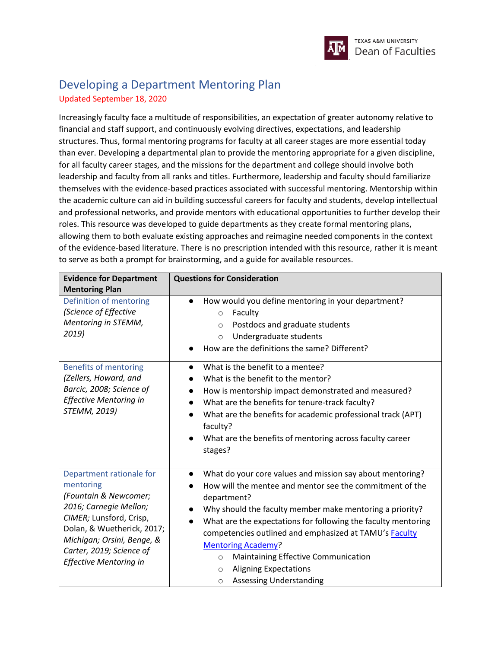

## Developing a Department Mentoring Plan Updated September 18, 2020

Increasingly faculty face a multitude of responsibilities, an expectation of greater autonomy relative to financial and staff support, and continuously evolving directives, expectations, and leadership structures. Thus, formal mentoring programs for faculty at all career stages are more essential today than ever. Developing a departmental plan to provide the mentoring appropriate for a given discipline, for all faculty career stages, and the missions for the department and college should involve both leadership and faculty from all ranks and titles. Furthermore, leadership and faculty should familiarize themselves with the evidence-based practices associated with successful mentoring. Mentorship within the academic culture can aid in building successful careers for faculty and students, develop intellectual and professional networks, and provide mentors with educational opportunities to further develop their roles. This resource was developed to guide departments as they create formal mentoring plans, allowing them to both evaluate existing approaches and reimagine needed components in the context of the evidence-based literature. There is no prescription intended with this resource, rather it is meant to serve as both a prompt for brainstorming, and a guide for available resources.

| <b>Evidence for Department</b><br><b>Mentoring Plan</b>                                                                                                                                                                               | <b>Questions for Consideration</b>                                                                                                                                                                                                                                                                                                                                                                                                                                                                                           |  |  |
|---------------------------------------------------------------------------------------------------------------------------------------------------------------------------------------------------------------------------------------|------------------------------------------------------------------------------------------------------------------------------------------------------------------------------------------------------------------------------------------------------------------------------------------------------------------------------------------------------------------------------------------------------------------------------------------------------------------------------------------------------------------------------|--|--|
| Definition of mentoring<br>(Science of Effective<br>Mentoring in STEMM,<br>2019)                                                                                                                                                      | How would you define mentoring in your department?<br>Faculty<br>$\circ$<br>Postdocs and graduate students<br>$\circ$<br>Undergraduate students<br>$\circ$<br>How are the definitions the same? Different?                                                                                                                                                                                                                                                                                                                   |  |  |
| <b>Benefits of mentoring</b><br>(Zellers, Howard, and<br>Barcic, 2008; Science of<br><b>Effective Mentoring in</b><br>STEMM, 2019)                                                                                                    | What is the benefit to a mentee?<br>$\bullet$<br>What is the benefit to the mentor?<br>How is mentorship impact demonstrated and measured?<br>$\bullet$<br>What are the benefits for tenure-track faculty?<br>$\bullet$<br>What are the benefits for academic professional track (APT)<br>faculty?<br>What are the benefits of mentoring across faculty career<br>stages?                                                                                                                                                    |  |  |
| Department rationale for<br>mentoring<br>(Fountain & Newcomer;<br>2016; Carnegie Mellon;<br>CIMER; Lunsford, Crisp,<br>Dolan, & Wuetherick, 2017;<br>Michigan; Orsini, Benge, &<br>Carter, 2019; Science of<br>Effective Mentoring in | What do your core values and mission say about mentoring?<br>$\bullet$<br>How will the mentee and mentor see the commitment of the<br>department?<br>Why should the faculty member make mentoring a priority?<br>What are the expectations for following the faculty mentoring<br>$\bullet$<br>competencies outlined and emphasized at TAMU's Faculty<br><b>Mentoring Academy?</b><br>Maintaining Effective Communication<br>$\circ$<br><b>Aligning Expectations</b><br>$\circ$<br><b>Assessing Understanding</b><br>$\circ$ |  |  |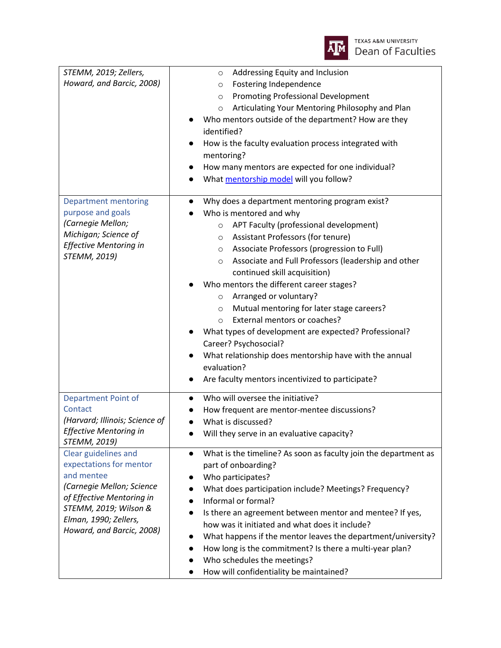

| STEMM, 2019; Zellers,                 | Addressing Equity and Inclusion<br>$\circ$                                                                 |  |  |
|---------------------------------------|------------------------------------------------------------------------------------------------------------|--|--|
| Howard, and Barcic, 2008)             | Fostering Independence<br>$\circ$                                                                          |  |  |
|                                       | <b>Promoting Professional Development</b><br>$\circ$                                                       |  |  |
|                                       | Articulating Your Mentoring Philosophy and Plan<br>$\circ$                                                 |  |  |
|                                       | Who mentors outside of the department? How are they                                                        |  |  |
|                                       | identified?                                                                                                |  |  |
|                                       | How is the faculty evaluation process integrated with                                                      |  |  |
|                                       | mentoring?                                                                                                 |  |  |
|                                       | How many mentors are expected for one individual?                                                          |  |  |
|                                       | What mentorship model will you follow?                                                                     |  |  |
|                                       |                                                                                                            |  |  |
| <b>Department mentoring</b>           | Why does a department mentoring program exist?                                                             |  |  |
| purpose and goals                     | Who is mentored and why                                                                                    |  |  |
| (Carnegie Mellon;                     | APT Faculty (professional development)<br>$\circ$                                                          |  |  |
| Michigan; Science of                  | Assistant Professors (for tenure)<br>$\circ$                                                               |  |  |
| <b>Effective Mentoring in</b>         | Associate Professors (progression to Full)<br>$\circ$                                                      |  |  |
| STEMM, 2019)                          | Associate and Full Professors (leadership and other<br>$\circ$                                             |  |  |
|                                       | continued skill acquisition)                                                                               |  |  |
|                                       | Who mentors the different career stages?                                                                   |  |  |
|                                       | Arranged or voluntary?<br>$\circ$                                                                          |  |  |
|                                       | Mutual mentoring for later stage careers?<br>$\circ$                                                       |  |  |
|                                       | External mentors or coaches?<br>$\circ$                                                                    |  |  |
|                                       | What types of development are expected? Professional?                                                      |  |  |
|                                       | Career? Psychosocial?                                                                                      |  |  |
|                                       | What relationship does mentorship have with the annual                                                     |  |  |
|                                       | evaluation?                                                                                                |  |  |
|                                       | Are faculty mentors incentivized to participate?                                                           |  |  |
|                                       |                                                                                                            |  |  |
| <b>Department Point of</b><br>Contact | Who will oversee the initiative?<br>$\bullet$                                                              |  |  |
| (Harvard; Illinois; Science of        | How frequent are mentor-mentee discussions?                                                                |  |  |
| Effective Mentoring in                | What is discussed?                                                                                         |  |  |
| STEMM, 2019)                          | Will they serve in an evaluative capacity?                                                                 |  |  |
| Clear guidelines and                  | What is the timeline? As soon as faculty join the department as                                            |  |  |
| expectations for mentor               | part of onboarding?                                                                                        |  |  |
| and mentee                            | Who participates?                                                                                          |  |  |
| (Carnegie Mellon; Science             | What does participation include? Meetings? Frequency?                                                      |  |  |
| of Effective Mentoring in             | Informal or formal?                                                                                        |  |  |
| STEMM, 2019; Wilson &                 | Is there an agreement between mentor and mentee? If yes,<br>how was it initiated and what does it include? |  |  |
| Elman, 1990; Zellers,                 |                                                                                                            |  |  |
| Howard, and Barcic, 2008)             | What happens if the mentor leaves the department/university?                                               |  |  |
|                                       | How long is the commitment? Is there a multi-year plan?                                                    |  |  |
|                                       | Who schedules the meetings?                                                                                |  |  |
|                                       | How will confidentiality be maintained?                                                                    |  |  |
|                                       |                                                                                                            |  |  |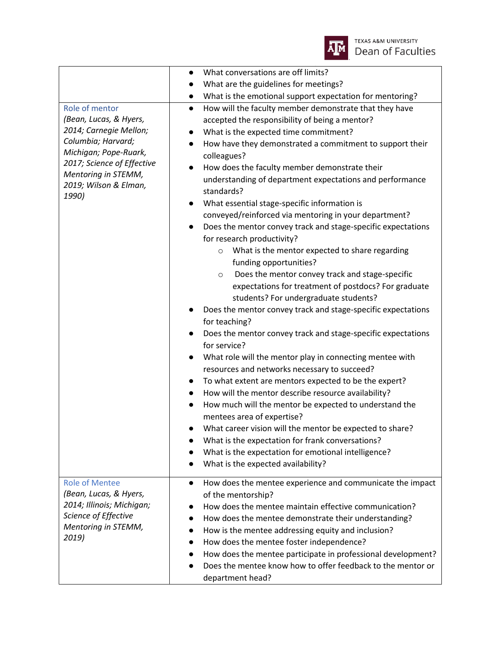

|                                              | What conversations are off limits?<br>$\bullet$                              |  |  |
|----------------------------------------------|------------------------------------------------------------------------------|--|--|
|                                              | What are the guidelines for meetings?<br>$\bullet$                           |  |  |
|                                              | What is the emotional support expectation for mentoring?<br>$\bullet$        |  |  |
| Role of mentor                               | How will the faculty member demonstrate that they have<br>$\bullet$          |  |  |
| (Bean, Lucas, & Hyers,                       | accepted the responsibility of being a mentor?                               |  |  |
| 2014; Carnegie Mellon;                       | What is the expected time commitment?<br>$\bullet$                           |  |  |
| Columbia; Harvard;                           | How have they demonstrated a commitment to support their<br>$\bullet$        |  |  |
| Michigan; Pope-Ruark,                        | colleagues?                                                                  |  |  |
| 2017; Science of Effective                   | How does the faculty member demonstrate their<br>$\bullet$                   |  |  |
| Mentoring in STEMM,<br>2019; Wilson & Elman, | understanding of department expectations and performance                     |  |  |
| 1990)                                        | standards?                                                                   |  |  |
|                                              | What essential stage-specific information is                                 |  |  |
|                                              | conveyed/reinforced via mentoring in your department?                        |  |  |
|                                              | Does the mentor convey track and stage-specific expectations                 |  |  |
|                                              | for research productivity?                                                   |  |  |
|                                              | What is the mentor expected to share regarding<br>$\circ$                    |  |  |
|                                              | funding opportunities?                                                       |  |  |
|                                              | Does the mentor convey track and stage-specific<br>$\circ$                   |  |  |
|                                              | expectations for treatment of postdocs? For graduate                         |  |  |
|                                              | students? For undergraduate students?                                        |  |  |
|                                              | Does the mentor convey track and stage-specific expectations                 |  |  |
|                                              | for teaching?                                                                |  |  |
|                                              | Does the mentor convey track and stage-specific expectations<br>for service? |  |  |
|                                              | What role will the mentor play in connecting mentee with                     |  |  |
|                                              | resources and networks necessary to succeed?                                 |  |  |
|                                              | To what extent are mentors expected to be the expert?<br>$\bullet$           |  |  |
|                                              | How will the mentor describe resource availability?<br>$\bullet$             |  |  |
|                                              | How much will the mentor be expected to understand the                       |  |  |
|                                              | mentees area of expertise?                                                   |  |  |
|                                              | What career vision will the mentor be expected to share?                     |  |  |
|                                              | What is the expectation for frank conversations?                             |  |  |
|                                              | What is the expectation for emotional intelligence?                          |  |  |
|                                              | What is the expected availability?                                           |  |  |
|                                              |                                                                              |  |  |
| <b>Role of Mentee</b>                        | How does the mentee experience and communicate the impact<br>$\bullet$       |  |  |
| (Bean, Lucas, & Hyers,                       | of the mentorship?                                                           |  |  |
| 2014; Illinois; Michigan;                    | How does the mentee maintain effective communication?                        |  |  |
| Science of Effective                         | How does the mentee demonstrate their understanding?                         |  |  |
| Mentoring in STEMM,<br>2019)                 | How is the mentee addressing equity and inclusion?<br>$\bullet$              |  |  |
|                                              | How does the mentee foster independence?                                     |  |  |
|                                              | How does the mentee participate in professional development?<br>٠            |  |  |
|                                              | Does the mentee know how to offer feedback to the mentor or                  |  |  |
|                                              | department head?                                                             |  |  |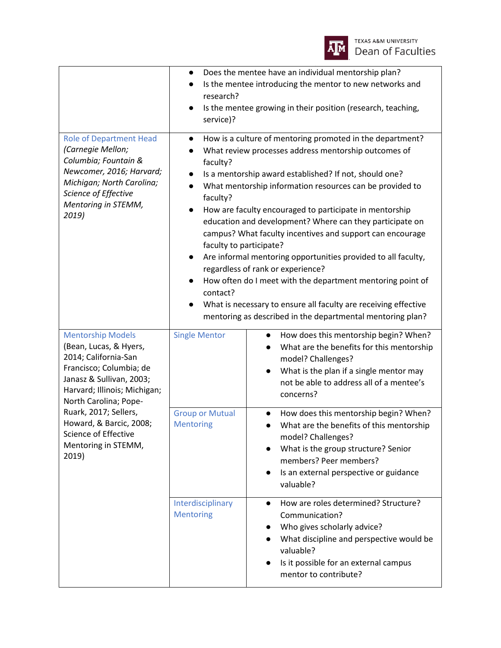

|                                                                                                                                                                                                                                                                                                        | $\bullet$<br>research?<br>$\bullet$<br>service)?                                                   | Does the mentee have an individual mentorship plan?<br>Is the mentee introducing the mentor to new networks and<br>Is the mentee growing in their position (research, teaching,                                                                                                                                                                                                                                                                                                                                                                                                                                                                                                                                                  |
|--------------------------------------------------------------------------------------------------------------------------------------------------------------------------------------------------------------------------------------------------------------------------------------------------------|----------------------------------------------------------------------------------------------------|----------------------------------------------------------------------------------------------------------------------------------------------------------------------------------------------------------------------------------------------------------------------------------------------------------------------------------------------------------------------------------------------------------------------------------------------------------------------------------------------------------------------------------------------------------------------------------------------------------------------------------------------------------------------------------------------------------------------------------|
| <b>Role of Department Head</b><br>(Carnegie Mellon;<br>Columbia; Fountain &<br>Newcomer, 2016; Harvard;<br>Michigan; North Carolina;<br>Science of Effective<br>Mentoring in STEMM,<br>2019)                                                                                                           | $\bullet$<br>faculty?<br>$\bullet$<br>faculty?<br>$\bullet$<br>faculty to participate?<br>contact? | How is a culture of mentoring promoted in the department?<br>What review processes address mentorship outcomes of<br>Is a mentorship award established? If not, should one?<br>What mentorship information resources can be provided to<br>How are faculty encouraged to participate in mentorship<br>education and development? Where can they participate on<br>campus? What faculty incentives and support can encourage<br>Are informal mentoring opportunities provided to all faculty,<br>regardless of rank or experience?<br>How often do I meet with the department mentoring point of<br>What is necessary to ensure all faculty are receiving effective<br>mentoring as described in the departmental mentoring plan? |
| <b>Mentorship Models</b><br>(Bean, Lucas, & Hyers,<br>2014; California-San<br>Francisco; Columbia; de<br>Janasz & Sullivan, 2003;<br>Harvard; Illinois; Michigan;<br>North Carolina; Pope-<br>Ruark, 2017; Sellers,<br>Howard, & Barcic, 2008;<br>Science of Effective<br>Mentoring in STEMM,<br>2019) | <b>Single Mentor</b>                                                                               | How does this mentorship begin? When?<br>What are the benefits for this mentorship<br>model? Challenges?<br>What is the plan if a single mentor may<br>not be able to address all of a mentee's<br>concerns?                                                                                                                                                                                                                                                                                                                                                                                                                                                                                                                     |
|                                                                                                                                                                                                                                                                                                        | <b>Group or Mutual</b><br><b>Mentoring</b>                                                         | How does this mentorship begin? When?<br>$\bullet$<br>What are the benefits of this mentorship<br>model? Challenges?<br>What is the group structure? Senior<br>members? Peer members?<br>Is an external perspective or guidance<br>valuable?                                                                                                                                                                                                                                                                                                                                                                                                                                                                                     |
|                                                                                                                                                                                                                                                                                                        | Interdisciplinary<br><b>Mentoring</b>                                                              | How are roles determined? Structure?<br>$\bullet$<br>Communication?<br>Who gives scholarly advice?<br>What discipline and perspective would be<br>valuable?<br>Is it possible for an external campus<br>mentor to contribute?                                                                                                                                                                                                                                                                                                                                                                                                                                                                                                    |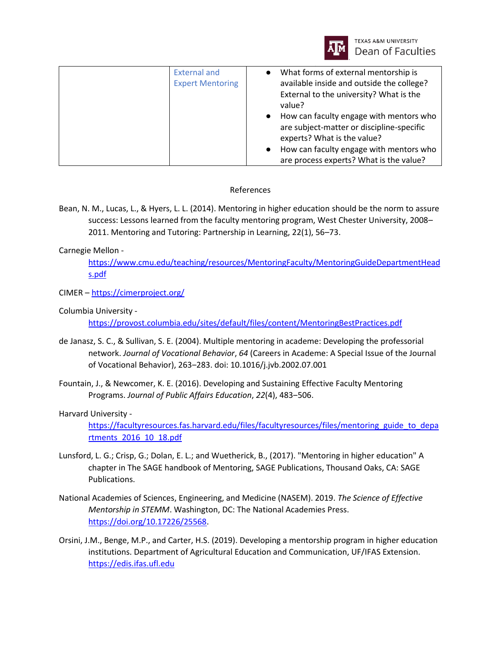

| What forms of external mentorship is<br><b>External and</b><br>available inside and outside the college?<br><b>Expert Mentoring</b><br>External to the university? What is the<br>value?<br>How can faculty engage with mentors who<br>are subject-matter or discipline-specific<br>experts? What is the value?<br>How can faculty engage with mentors who |  |                                         |
|------------------------------------------------------------------------------------------------------------------------------------------------------------------------------------------------------------------------------------------------------------------------------------------------------------------------------------------------------------|--|-----------------------------------------|
|                                                                                                                                                                                                                                                                                                                                                            |  | are process experts? What is the value? |

## References

Bean, N. M., Lucas, L., & Hyers, L. L. (2014). Mentoring in higher education should be the norm to assure success: Lessons learned from the faculty mentoring program, West Chester University, 2008– 2011. Mentoring and Tutoring: Partnership in Learning, 22(1), 56–73.

## Carnegie Mellon -

[https://www.cmu.edu/teaching/resources/MentoringFaculty/MentoringGuideDepartmentHead](https://www.cmu.edu/teaching/resources/MentoringFaculty/MentoringGuideDepartmentHeads.pdf) [s.pdf](https://www.cmu.edu/teaching/resources/MentoringFaculty/MentoringGuideDepartmentHeads.pdf)

CIMER – <https://cimerproject.org/>

Columbia University -

<https://provost.columbia.edu/sites/default/files/content/MentoringBestPractices.pdf>

- de Janasz, S. C., & Sullivan, S. E. (2004). Multiple mentoring in academe: Developing the professorial network. *Journal of Vocational Behavior*, *64* (Careers in Academe: A Special Issue of the Journal of Vocational Behavior), 263‒283. doi: 10.1016/j.jvb.2002.07.001
- Fountain, J., & Newcomer, K. E. (2016). Developing and Sustaining Effective Faculty Mentoring Programs. *Journal of Public Affairs Education*, *22*(4), 483‒506.

Harvard University -

https://facultyresources.fas.harvard.edu/files/facultyresources/files/mentoring guide to depa [rtments\\_2016\\_10\\_18.pdf](https://facultyresources.fas.harvard.edu/files/facultyresources/files/mentoring_guide_to_departments_2016_10_18.pdf)

- Lunsford, L. G.; Crisp, G.; Dolan, E. L.; and Wuetherick, B., (2017). "Mentoring in higher education" A chapter in The SAGE handbook of Mentoring, SAGE Publications, Thousand Oaks, CA: SAGE Publications.
- National Academies of Sciences, Engineering, and Medicine (NASEM). 2019. *The Science of Effective Mentorship in STEMM*. Washington, DC: The National Academies Press. [https://doi.org/10.17226/25568.](https://doi.org/10.17226/25568)
- Orsini, J.M., Benge, M.P., and Carter, H.S. (2019). Developing a mentorship program in higher education institutions. Department of Agricultural Education and Communication, UF/IFAS Extension. [https://edis.ifas.ufl.edu](https://edis.ifas.ufl.edu/)